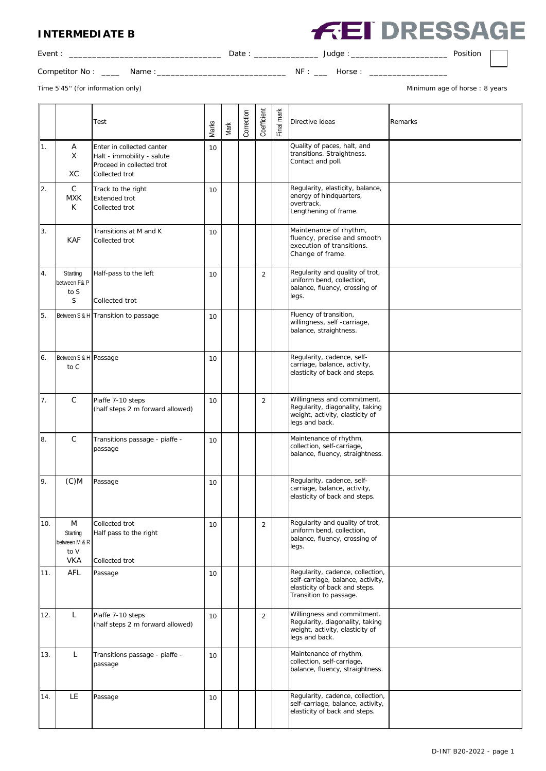## **INTERMEDIATE B**

|  | <b>FEI DRESSAGE</b> |  |  |  |  |
|--|---------------------|--|--|--|--|
|--|---------------------|--|--|--|--|

| Event.         |       | Date |           | Judge | Position |  |
|----------------|-------|------|-----------|-------|----------|--|
| Competitor No: | Name: |      | <b>NF</b> | Horse |          |  |

Time 5'45" (for information only) and the state of the state of the state of the state of the state of the state of the state of the state of the state of the state of the state of the state of the state of the state of th

|     |                                                      | Test                                                                                                   | Marks | Mark | Correction | Coefficient    | Final mark | Directive ideas                                                                                                                  | Remarks |
|-----|------------------------------------------------------|--------------------------------------------------------------------------------------------------------|-------|------|------------|----------------|------------|----------------------------------------------------------------------------------------------------------------------------------|---------|
| 1.  | Α<br>X<br>XC                                         | Enter in collected canter<br>Halt - immobility - salute<br>Proceed in collected trot<br>Collected trot | 10    |      |            |                |            | Quality of paces, halt, and<br>transitions. Straightness.<br>Contact and poll.                                                   |         |
| 2.  | $\mathsf C$<br><b>MXK</b><br>K.                      | Track to the right<br><b>Extended trot</b><br>Collected trot                                           | 10    |      |            |                |            | Regularity, elasticity, balance,<br>energy of hindquarters,<br>overtrack.<br>Lengthening of frame.                               |         |
| 3.  | <b>KAF</b>                                           | Transitions at M and K<br>Collected trot                                                               | 10    |      |            |                |            | Maintenance of rhythm,<br>fluency, precise and smooth<br>execution of transitions.<br>Change of frame.                           |         |
| 4.  | Starting<br>between F& P<br>to S<br>S                | Half-pass to the left<br>Collected trot                                                                | 10    |      |            | $\overline{2}$ |            | Regularity and quality of trot,<br>uniform bend, collection,<br>balance, fluency, crossing of<br>legs.                           |         |
| 5.  |                                                      | Between S & H Transition to passage                                                                    | 10    |      |            |                |            | Fluency of transition,<br>willingness, self -carriage,<br>balance, straightness.                                                 |         |
| 6.  | Between S & H Passage<br>to C                        |                                                                                                        | 10    |      |            |                |            | Regularity, cadence, self-<br>carriage, balance, activity,<br>elasticity of back and steps.                                      |         |
| 7.  | $\mathsf{C}$                                         | Piaffe 7-10 steps<br>(half steps 2 m forward allowed)                                                  | 10    |      |            | $\overline{2}$ |            | Willingness and commitment.<br>Regularity, diagonality, taking<br>weight, activity, elasticity of<br>legs and back.              |         |
| 8.  | С                                                    | Transitions passage - piaffe -<br>passage                                                              | 10    |      |            |                |            | Maintenance of rhythm,<br>collection, self-carriage,<br>balance, fluency, straightness.                                          |         |
| 9.  | $(C)$ M                                              | Passage                                                                                                | 10    |      |            |                |            | Regularity, cadence, self-<br>carriage, balance, activity,<br>elasticity of back and steps.                                      |         |
| 10. | M<br>Starting<br>between M & R<br>to V<br><b>VKA</b> | Collected trot<br>Half pass to the right<br>Collected trot                                             | 10    |      |            | $\overline{2}$ |            | Regularity and quality of trot,<br>uniform bend, collection,<br>balance, fluency, crossing of<br>legs.                           |         |
| 11. | AFL                                                  | Passage                                                                                                | 10    |      |            |                |            | Regularity, cadence, collection,<br>self-carriage, balance, activity,<br>elasticity of back and steps.<br>Transition to passage. |         |
| 12. | L                                                    | Piaffe 7-10 steps<br>(half steps 2 m forward allowed)                                                  | 10    |      |            | $\overline{2}$ |            | Willingness and commitment.<br>Regularity, diagonality, taking<br>weight, activity, elasticity of<br>legs and back.              |         |
| 13. | L                                                    | Transitions passage - piaffe -<br>passage                                                              | 10    |      |            |                |            | Maintenance of rhythm,<br>collection, self-carriage,<br>balance, fluency, straightness.                                          |         |
| 14. | <b>LE</b>                                            | Passage                                                                                                | 10    |      |            |                |            | Regularity, cadence, collection,<br>self-carriage, balance, activity,<br>elasticity of back and steps.                           |         |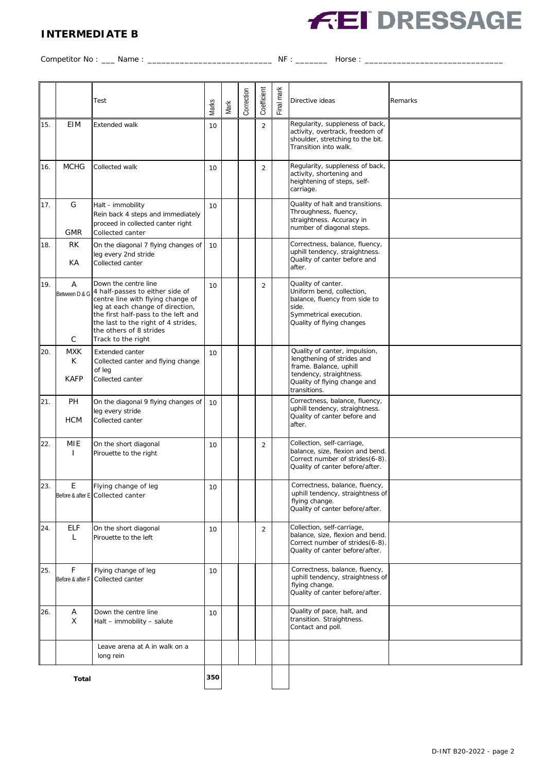## **INTERMEDIATE B**



Competitor No : \_\_\_ Name : \_\_\_\_\_\_\_\_\_\_\_\_\_\_\_\_\_\_\_\_\_\_\_\_\_\_\_ NF : \_\_\_\_\_\_\_ Horse : \_\_\_\_\_\_\_\_\_\_\_\_\_\_\_\_\_\_\_\_\_\_\_\_\_\_\_\_\_\_

|     |                                | Test                                                                                                                                                                                                                                                                          |       |      | Correction | Coefficient    | Final mark | Directive ideas                                                                                                                                                  | Remarks |
|-----|--------------------------------|-------------------------------------------------------------------------------------------------------------------------------------------------------------------------------------------------------------------------------------------------------------------------------|-------|------|------------|----------------|------------|------------------------------------------------------------------------------------------------------------------------------------------------------------------|---------|
|     |                                |                                                                                                                                                                                                                                                                               | Marks | Mark |            |                |            |                                                                                                                                                                  |         |
| 15. | EIM                            | <b>Extended walk</b>                                                                                                                                                                                                                                                          | 10    |      |            | $\overline{2}$ |            | Regularity, suppleness of back,<br>activity, overtrack, freedom of<br>shoulder, stretching to the bit.<br>Transition into walk.                                  |         |
| 16. | <b>MCHG</b>                    | Collected walk                                                                                                                                                                                                                                                                | 10    |      |            | $\overline{2}$ |            | Regularity, suppleness of back,<br>activity, shortening and<br>heightening of steps, self-<br>carriage.                                                          |         |
| 17. | G<br><b>GMR</b>                | Halt - immobility<br>Rein back 4 steps and immediately<br>proceed in collected canter right<br>Collected canter                                                                                                                                                               | 10    |      |            |                |            | Quality of halt and transitions.<br>Throughness, fluency,<br>straightness. Accuracy in<br>number of diagonal steps.                                              |         |
| 18. | RK<br>КA                       | On the diagonal 7 flying changes of<br>leg every 2nd stride<br>Collected canter                                                                                                                                                                                               | 10    |      |            |                |            | Correctness, balance, fluency,<br>uphill tendency, straightness.<br>Quality of canter before and<br>after.                                                       |         |
| 19. | A<br>С                         | Down the centre line<br>Between D & G 4 half-passes to either side of<br>centre line with flying change of<br>leg at each change of direction,<br>the first half-pass to the left and<br>the last to the right of 4 strides,<br>the others of 8 strides<br>Track to the right | 10    |      |            | $\overline{2}$ |            | Quality of canter.<br>Uniform bend, collection,<br>balance, fluency from side to<br>side.<br>Symmetrical execution.<br>Quality of flying changes                 |         |
| 20. | <b>MXK</b><br>K<br><b>KAFP</b> | Extended canter<br>Collected canter and flying change<br>of leg<br>Collected canter                                                                                                                                                                                           | 10    |      |            |                |            | Quality of canter, impulsion,<br>lengthening of strides and<br>frame. Balance, uphill<br>tendency, straightness.<br>Quality of flying change and<br>transitions. |         |
| 21. | PH<br><b>HCM</b>               | On the diagonal 9 flying changes of<br>leg every stride<br>Collected canter                                                                                                                                                                                                   | 10    |      |            |                |            | Correctness, balance, fluency,<br>uphill tendency, straightness.<br>Quality of canter before and<br>after.                                                       |         |
| 22. | MIE<br>ı                       | On the short diagonal<br>Pirouette to the right                                                                                                                                                                                                                               | 10    |      |            | $\overline{2}$ |            | Collection, self-carriage,<br>balance, size, flexion and bend.<br>Correct number of strides(6-8).<br>Quality of canter before/after.                             |         |
| 23. | E                              | Flying change of leg<br>Before & after E Collected canter                                                                                                                                                                                                                     | 10    |      |            |                |            | Correctness, balance, fluency,<br>uphill tendency, straightness of<br>flying change.<br>Quality of canter before/after.                                          |         |
| 24. | <b>ELF</b><br>L                | On the short diagonal<br>Pirouette to the left                                                                                                                                                                                                                                | 10    |      |            | $\overline{2}$ |            | Collection, self-carriage,<br>balance, size, flexion and bend.<br>Correct number of strides(6-8).<br>Quality of canter before/after.                             |         |
| 25. | F                              | Flying change of leg<br>Before & after F   Collected canter                                                                                                                                                                                                                   | 10    |      |            |                |            | Correctness, balance, fluency,<br>uphill tendency, straightness of<br>flying change.<br>Quality of canter before/after.                                          |         |
| 26. | Α<br>X                         | Down the centre line<br>Halt - immobility - salute                                                                                                                                                                                                                            | 10    |      |            |                |            | Quality of pace, halt, and<br>transition. Straightness.<br>Contact and poll.                                                                                     |         |
|     |                                | Leave arena at A in walk on a<br>long rein                                                                                                                                                                                                                                    |       |      |            |                |            |                                                                                                                                                                  |         |
|     | <b>Total</b>                   |                                                                                                                                                                                                                                                                               | 350   |      |            |                |            |                                                                                                                                                                  |         |